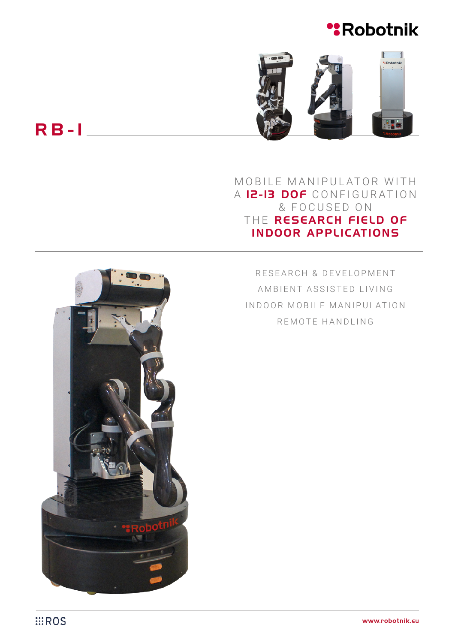



# RB-1

MOBILE MANIPULATOR WITH A **12-13 DOF** CONFIGURATION & FOCUSED ON THE RESEARCH FIELD OF **INDOOR APPLICATIONS** 

RESEARCH & DEVELOPMENT AMBIENT ASSISTED LIVING INDOOR MOBILE MANIPULATION REMOTE HANDLING